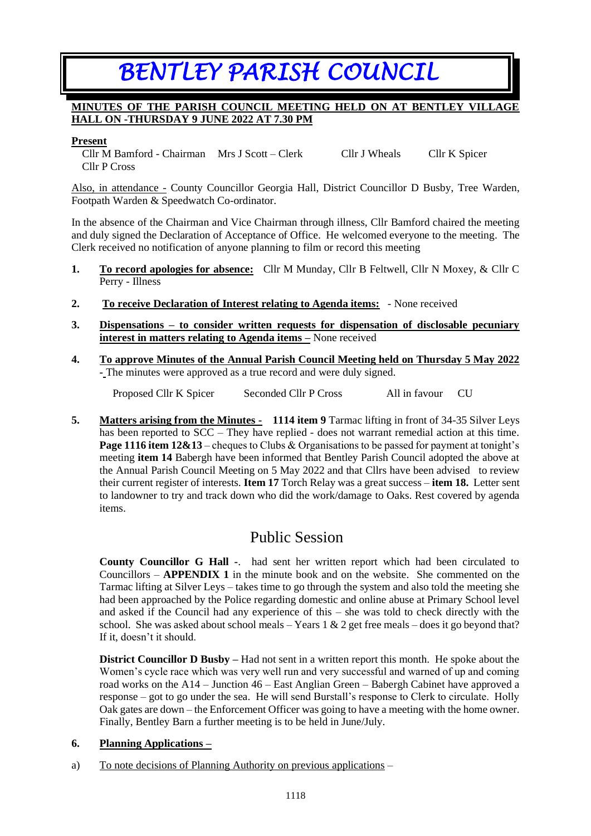# *BENTLEY PARISH COUNCIL*

#### **MINUTES OF THE PARISH COUNCIL MEETING HELD ON AT BENTLEY VILLAGE HALL ON -THURSDAY 9 JUNE 2022 AT 7.30 PM**

#### **Present**

Cllr M Bamford - Chairman Mrs J Scott – Clerk Cllr J Wheals Cllr K Spicer Cllr P Cross

Also, in attendance - County Councillor Georgia Hall, District Councillor D Busby, Tree Warden, Footpath Warden & Speedwatch Co-ordinator.

In the absence of the Chairman and Vice Chairman through illness, Cllr Bamford chaired the meeting and duly signed the Declaration of Acceptance of Office. He welcomed everyone to the meeting. The Clerk received no notification of anyone planning to film or record this meeting

- **1. To record apologies for absence:** Cllr M Munday, Cllr B Feltwell, Cllr N Moxey, & Cllr C Perry - Illness
- **2. To receive Declaration of Interest relating to Agenda items:** None received
- **3. Dispensations – to consider written requests for dispensation of disclosable pecuniary interest in matters relating to Agenda items –** None received
- **4. To approve Minutes of the Annual Parish Council Meeting held on Thursday 5 May 2022 -** The minutes were approved as a true record and were duly signed.

Proposed Cllr K Spicer Seconded Cllr P Cross All in favour CU

**5. Matters arising from the Minutes - 1114 item 9** Tarmac lifting in front of 34-35 Silver Leys has been reported to SCC – They have replied - does not warrant remedial action at this time. **Page 1116 item 12&13** – cheques to Clubs & Organisations to be passed for payment at tonight's meeting **item 14** Babergh have been informed that Bentley Parish Council adopted the above at the Annual Parish Council Meeting on 5 May 2022 and that Cllrs have been advised to review their current register of interests. **Item 17** Torch Relay was a great success – **item 18.** Letter sent to landowner to try and track down who did the work/damage to Oaks. Rest covered by agenda items.

## Public Session

**County Councillor G Hall -**. had sent her written report which had been circulated to Councillors – **APPENDIX 1** in the minute book and on the website. She commented on the Tarmac lifting at Silver Leys – takes time to go through the system and also told the meeting she had been approached by the Police regarding domestic and online abuse at Primary School level and asked if the Council had any experience of this – she was told to check directly with the school. She was asked about school meals – Years  $1 \& 2$  get free meals – does it go beyond that? If it, doesn't it should.

**District Councillor D Busby –** Had not sent in a written report this month. He spoke about the Women's cycle race which was very well run and very successful and warned of up and coming road works on the A14 – Junction 46 – East Anglian Green – Babergh Cabinet have approved a response – got to go under the sea. He will send Burstall's response to Clerk to circulate. Holly Oak gates are down – the Enforcement Officer was going to have a meeting with the home owner. Finally, Bentley Barn a further meeting is to be held in June/July.

#### **6. Planning Applications –**

a) To note decisions of Planning Authority on previous applications –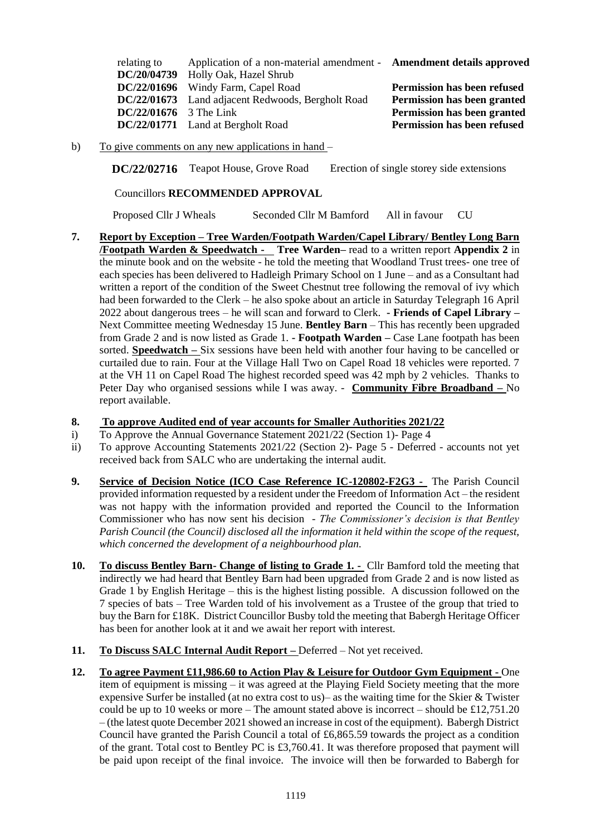| relating to              | Application of a non-material amendment - <b>Amendment details approved</b> |                             |
|--------------------------|-----------------------------------------------------------------------------|-----------------------------|
|                          | DC/20/04739 Holly Oak, Hazel Shrub                                          |                             |
|                          | DC/22/01696 Windy Farm, Capel Road                                          | Permission has been refused |
|                          | DC/22/01673 Land adjacent Redwoods, Bergholt Road                           | Permission has been granted |
| $DC/22/01676$ 3 The Link |                                                                             | Permission has been granted |
|                          | DC/22/01771 Land at Bergholt Road                                           | Permission has been refused |

b) To give comments on any new applications in hand –

**DC/22/02716** Teapot House, Grove Road Erection of single storey side extensions

Councillors **RECOMMENDED APPROVAL** 

Proposed Cllr J Wheals Seconded Cllr M Bamford All in favour CU

**7. Report by Exception – Tree Warden/Footpath Warden/Capel Library/ Bentley Long Barn /Footpath Warden & Speedwatch - Tree Warden–** read to a written report **Appendix 2** in the minute book and on the website - he told the meeting that Woodland Trust trees- one tree of each species has been delivered to Hadleigh Primary School on 1 June – and as a Consultant had written a report of the condition of the Sweet Chestnut tree following the removal of ivy which had been forwarded to the Clerk – he also spoke about an article in Saturday Telegraph 16 April 2022 about dangerous trees – he will scan and forward to Clerk. **- Friends of Capel Library –** Next Committee meeting Wednesday 15 June. **Bentley Barn** – This has recently been upgraded from Grade 2 and is now listed as Grade 1. **- Footpath Warden –** Case Lane footpath has been sorted. **Speedwatch –** Six sessions have been held with another four having to be cancelled or curtailed due to rain. Four at the Village Hall Two on Capel Road 18 vehicles were reported. 7 at the VH 11 on Capel Road The highest recorded speed was 42 mph by 2 vehicles. Thanks to Peter Day who organised sessions while I was away. - **Community Fibre Broadband –** No report available.

#### **8. To approve Audited end of year accounts for Smaller Authorities 2021/22**

- i) To Approve the Annual Governance Statement 2021/22 (Section 1)- Page 4
- ii) To approve Accounting Statements 2021/22 (Section 2)- Page 5 Deferred accounts not yet received back from SALC who are undertaking the internal audit.
- **9. Service of Decision Notice (ICO Case Reference IC-120802-F2G3 -** The Parish Council provided information requested by a resident under the Freedom of Information Act – the resident was not happy with the information provided and reported the Council to the Information Commissioner who has now sent his decision - *The Commissioner's decision is that Bentley Parish Council (the Council) disclosed all the information it held within the scope of the request, which concerned the development of a neighbourhood plan.*
- **10. To discuss Bentley Barn- Change of listing to Grade 1. -** Cllr Bamford told the meeting that indirectly we had heard that Bentley Barn had been upgraded from Grade 2 and is now listed as Grade 1 by English Heritage – this is the highest listing possible. A discussion followed on the 7 species of bats – Tree Warden told of his involvement as a Trustee of the group that tried to buy the Barn for £18K. District Councillor Busby told the meeting that Babergh Heritage Officer has been for another look at it and we await her report with interest.
- **11. To Discuss SALC Internal Audit Report –** Deferred Not yet received.
- **12. To agree Payment £11,986.60 to Action Play & Leisure for Outdoor Gym Equipment -** One item of equipment is missing – it was agreed at the Playing Field Society meeting that the more expensive Surfer be installed (at no extra cost to us)– as the waiting time for the Skier & Twister could be up to 10 weeks or more – The amount stated above is incorrect – should be £12,751.20 – (the latest quote December 2021 showed an increase in cost of the equipment). Babergh District Council have granted the Parish Council a total of £6,865.59 towards the project as a condition of the grant. Total cost to Bentley PC is £3,760.41. It was therefore proposed that payment will be paid upon receipt of the final invoice. The invoice will then be forwarded to Babergh for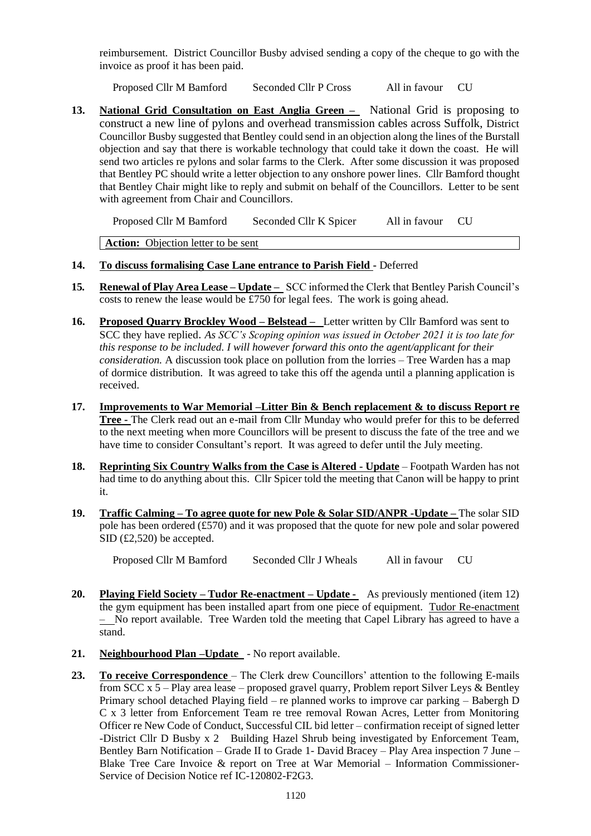reimbursement. District Councillor Busby advised sending a copy of the cheque to go with the invoice as proof it has been paid.

Proposed Cllr M Bamford Seconded Cllr P Cross All in favour CU

**13. National Grid Consultation on East Anglia Green –** National Grid is proposing to construct a new line of pylons and overhead transmission cables across Suffolk, District Councillor Busby suggested that Bentley could send in an objection along the lines of the Burstall objection and say that there is workable technology that could take it down the coast. He will send two articles re pylons and solar farms to the Clerk. After some discussion it was proposed that Bentley PC should write a letter objection to any onshore power lines. Cllr Bamford thought that Bentley Chair might like to reply and submit on behalf of the Councillors. Letter to be sent with agreement from Chair and Councillors.

Proposed Cllr M Bamford Seconded Cllr K Spicer All in favour CU

Action: Objection letter to be sent

#### **14. To discuss formalising Case Lane entrance to Parish Field -** Deferred

- **15***.* **Renewal of Play Area Lease – Update** SCC informed the Clerk that Bentley Parish Council's costs to renew the lease would be £750 for legal fees. The work is going ahead.
- **16. Proposed Quarry Brockley Wood – Belstead** Letter written by Cllr Bamford was sent to SCC they have replied. *As SCC's Scoping opinion was issued in October 2021 it is too late for this response to be included. I will however forward this onto the agent/applicant for their consideration.* A discussion took place on pollution from the lorries – Tree Warden has a map of dormice distribution. It was agreed to take this off the agenda until a planning application is received.
- **17. Improvements to War Memorial –Litter Bin & Bench replacement & to discuss Report re Tree -** The Clerk read out an e-mail from Cllr Munday who would prefer for this to be deferred to the next meeting when more Councillors will be present to discuss the fate of the tree and we have time to consider Consultant's report. It was agreed to defer until the July meeting.
- **18. Reprinting Six Country Walks from the Case is Altered - Update** Footpath Warden has not had time to do anything about this. Cllr Spicer told the meeting that Canon will be happy to print it.
- **19. Traffic Calming – To agree quote for new Pole & Solar SID/ANPR -Update –** The solar SID pole has been ordered (£570) and it was proposed that the quote for new pole and solar powered SID (£2,520) be accepted.

Proposed Cllr M Bamford Seconded Cllr J Wheals All in favour CU

- **20. Playing Field Society – Tudor Re-enactment – Update -** As previously mentioned (item 12) the gym equipment has been installed apart from one piece of equipment. Tudor Re-enactment – No report available. Tree Warden told the meeting that Capel Library has agreed to have a stand.
- **21. Neighbourhood Plan –Update**  No report available.
- **23. To receive Correspondence**  The Clerk drew Councillors' attention to the following E-mails from SCC  $x 5$  – Play area lease – proposed gravel quarry, Problem report Silver Leys & Bentley Primary school detached Playing field – re planned works to improve car parking – Babergh D C x 3 letter from Enforcement Team re tree removal Rowan Acres, Letter from Monitoring Officer re New Code of Conduct, Successful CIL bid letter – confirmation receipt of signed letter -District Cllr D Busby x 2 Building Hazel Shrub being investigated by Enforcement Team, Bentley Barn Notification – Grade II to Grade 1- David Bracey – Play Area inspection 7 June – Blake Tree Care Invoice & report on Tree at War Memorial – Information Commissioner-Service of Decision Notice ref IC-120802-F2G3.